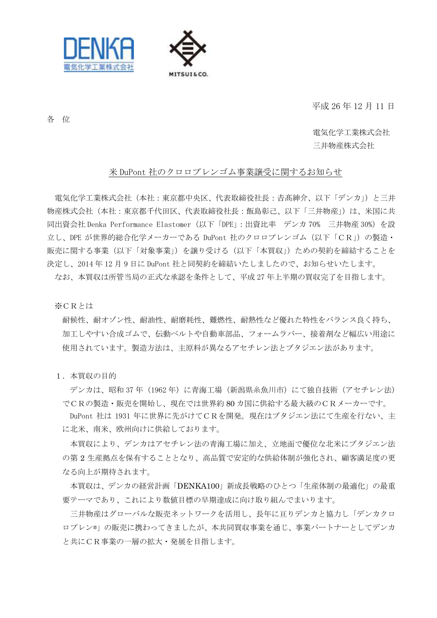



平成 26 年 12 月 11 日

各 位

電気化学工業株式会社

三井物産株式会社

#### 米 DuPont 社のクロロプレンゴム事業譲受に関するお知らせ

電気化学工業株式会社(本社:東京都中央区、代表取締役社長:暗髙紳介、以下「デンカ」)と三井 物産株式会社(本社:東京都千代田区、代表取締役社長:飯島彰己、以下「三井物産」)は、米国に共 同出資会社 Denka Performance Elastomer(以下「DPE」:出資比率 デンカ 70% 三井物産 30%)を設 立し、DPE が世界的総合化学メーカーである DuPont 社のクロロプレンゴム(以下「CR」)の製造・ 販売に関する事業(以下「対象事業」)を譲り受ける(以下「本買収」)ための契約を締結することを 決定し、2014 年 12 月 9 日に DuPont 社と同契約を締結いたしましたので、お知らせいたします。 なお、本買収は所管当局の正式な承認を条件として、平成 27 年上半期の買収完了を目指します。

※CRとは

耐候性、耐オゾン性、耐油性、耐磨耗性、難燃性、耐熱性など優れた特性をバランス良く持ち、 加工しやすい合成ゴムで、伝動ベルトや自動車部品、フォームラバー、接着剤など幅広い用途に 使用されています。製造方法は、主原料が異なるアセチレン法とブタジエン法があります。

1.本買収の目的

デンカは、昭和37年(1962年)に青海工場(新潟県糸魚川市)にて独自技術(アセチレン法) でCRの製造・販売を開始し、現在では世界約 80 カ国に供給する最大級のCRメーカーです。

DuPont 社は 1931 年に世界に先がけてCRを開発。現在はブタジエン法にて生産を行ない、主 に北米、南米、欧州向けに供給しております。

本買収により、デンカはアセチレン法の青海工場に加え、立地面で優位な北米にブタジエン法 の第 2 生産拠点を保有することとなり、高品質で安定的な供給体制が強化され、顧客満足度の更 なる向上が期待されます。

本買収は、デンカの経営計画「DENKA100」新成長戦略のひとつ「生産体制の最適化」の最重 要テーマであり、これにより数値目標の早期達成に向け取り組んでまいります。

三井物産はグローバルな販売ネットワークを活用し、長年に亘りデンカと協力し「デンカクロ ロプレン®」の販売に携わってきましたが、本共同買収事業を通じ、事業パートナーとしてデンカ と共にCR事業の一層の拡大・発展を目指します。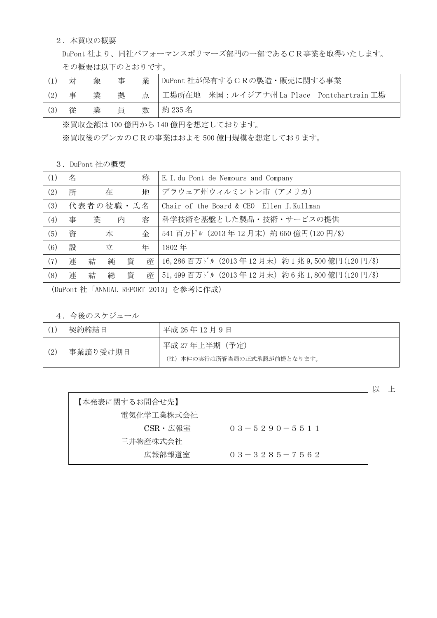## 2.本買収の概要

 DuPont 社より、同社パフォーマンスポリマーズ部門の一部であるCR事業を取得いたします。 その概要は以下のとおりです。

|     | 怵 | 象 | 事 | 業 | DuPont 社が保有するCRの製造・販売に関する事業                     |  |  |
|-----|---|---|---|---|-------------------------------------------------|--|--|
| (2) | 事 | 業 | 拠 |   | 点   工場所在地 米国 : ルイジアナ州 La Place Pontchartrain 工場 |  |  |
| (3) | 従 | 業 | 員 |   | 数   約235名                                       |  |  |

※買収金額は 100 億円から 140 億円を想定しております。

※買収後のデンカのCRの事業はおよそ 500 億円規模を想定しております。

3.DuPont 社の概要

| (1) | 名         |   |   |   | 称     | E. I. du Pont de Nemours and Company       |
|-----|-----------|---|---|---|-------|--------------------------------------------|
| (2) | 所         | 在 |   |   | 地     | デラウェア州ウィルミントン市 (アメリカ)                      |
| (3) | 代表者の役職・氏名 |   |   |   |       | Chair of the Board & CEO Ellen J. Kullman  |
| (4) | 事         | 業 |   | 内 | 容     | 科学技術を基盤とした製品・技術・サービスの提供                    |
| (5) | 資         |   | 本 |   | 金     | 541 百万ドル (2013年12月末)約650億円(120円/\$)        |
| (6) | 設         | 立 |   | 年 | 1802年 |                                            |
| (7) | 連         | 結 | 純 | 資 | 産     | 16,286 百万ドル (2013年12月末)約1兆9,500億円(120円/\$) |
| (8) | 連         | 結 | 総 | 資 | 産     | 51,499百万ドル (2013年12月末)約6兆1,800億円(120円/\$)  |

(DuPont 社「ANNUAL REPORT 2013」を参考に作成)

#### 4.今後のスケジュール

| 契約締結日    | 平成 26年12月9日                                    |
|----------|------------------------------------------------|
| 事業譲り受け期日 | 平成 27 年上半期(予定)<br>(注) 本件の実行は所管当局の正式承認が前提となります。 |

|                                             | F |
|---------------------------------------------|---|
| 【本発表に関するお問合せ先】                              |   |
| 電気化学工業株式会社                                  |   |
| $CSR \cdot \Delta$ 報室<br>$03 - 5290 - 5511$ |   |
| 三井物産株式会社                                    |   |
| 広報部報道室<br>$03 - 3285 - 7562$                |   |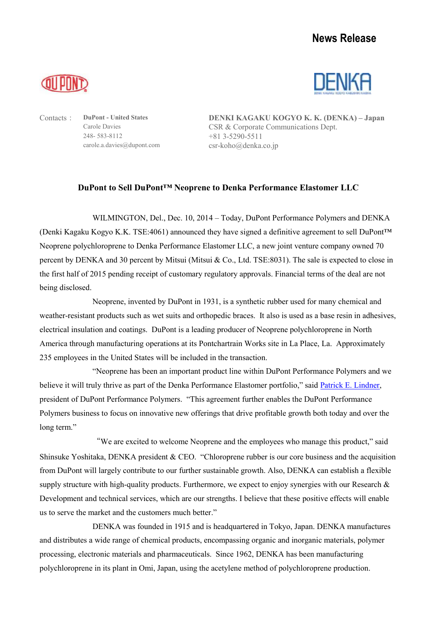# **News Release**





248- 583-8112 +81 3-5290-5511 carole.a.davies@dupont.com csr-koho@denka.co.jp

Contacts: **DuPont - United States DENKI KAGAKU KOGYO K. K. (DENKA) – Japan** Carole Davies CSR & Corporate Communications Dept.

### **DuPont to Sell DuPont™ Neoprene to Denka Performance Elastomer LLC**

WILMINGTON, Del., Dec. 10, 2014 – Today, DuPont Performance Polymers and DENKA (Denki Kagaku Kogyo K.K. TSE:4061) announced they have signed a definitive agreement to sell DuPont™ Neoprene polychloroprene to Denka Performance Elastomer LLC, a new joint venture company owned 70 percent by DENKA and 30 percent by Mitsui (Mitsui & Co., Ltd. TSE:8031). The sale is expected to close in the first half of 2015 pending receipt of customary regulatory approvals. Financial terms of the deal are not being disclosed.

Neoprene, invented by DuPont in 1931, is a synthetic rubber used for many chemical and weather-resistant products such as wet suits and orthopedic braces. It also is used as a base resin in adhesives, electrical insulation and coatings. DuPont is a leading producer of Neoprene polychloroprene in North America through manufacturing operations at its Pontchartrain Works site in La Place, La. Approximately 235 employees in the United States will be included in the transaction.

"Neoprene has been an important product line within DuPont Performance Polymers and we believe it will truly thrive as part of the Denka Performance Elastomer portfolio," said [Patrick E. Lindner,](http://www.dupont.com/corporate-functions/our-company/leadership/executive-leadership/articles/lindner.html) president of DuPont Performance Polymers. "This agreement further enables the DuPont Performance Polymers business to focus on innovative new offerings that drive profitable growth both today and over the long term."

"We are excited to welcome Neoprene and the employees who manage this product," said Shinsuke Yoshitaka, DENKA president & CEO. "Chloroprene rubber is our core business and the acquisition from DuPont will largely contribute to our further sustainable growth. Also, DENKA can establish a flexible supply structure with high-quality products. Furthermore, we expect to enjoy synergies with our Research & Development and technical services, which are our strengths. I believe that these positive effects will enable us to serve the market and the customers much better."

DENKA was founded in 1915 and is headquartered in Tokyo, Japan. DENKA manufactures and distributes a wide range of chemical products, encompassing organic and inorganic materials, polymer processing, electronic materials and pharmaceuticals. Since 1962, DENKA has been manufacturing polychloroprene in its plant in Omi, Japan, using the acetylene method of polychloroprene production.